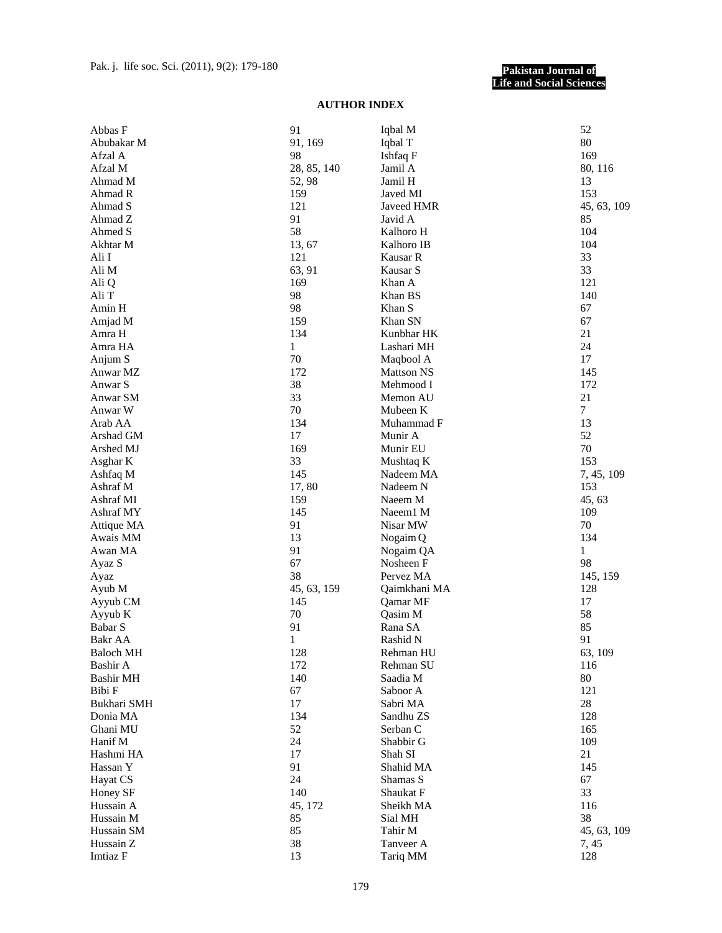## **Pakistan Journal of Life and Social Sciences**

## **AUTHOR INDEX**

| Abbas F          | 91          | Iqbal M           | 52          |
|------------------|-------------|-------------------|-------------|
| Abubakar M       | 91, 169     | Iqbal T           | 80          |
| Afzal A          | 98          | Ishfaq F          | 169         |
| Afzal M          | 28, 85, 140 | Jamil A           | 80, 116     |
| Ahmad M          | 52,98       | Jamil H           | 13          |
| Ahmad R          | 159         | Javed MI          | 153         |
| Ahmad S          | 121         | Javeed HMR        | 45, 63, 109 |
| Ahmad Z          | 91          | Javid A           | 85          |
| Ahmed S          | 58          | Kalhoro H         | 104         |
| Akhtar M         | 13, 67      | Kalhoro IB        | 104         |
| Ali I            | 121         | Kausar R          | 33          |
| Ali M            | 63, 91      | Kausar S          | 33          |
| Ali Q            | 169         | Khan A            | 121         |
| Ali T            | 98          | Khan BS           | 140         |
| Amin H           | 98          | Khan S            | 67          |
|                  | 159         | Khan SN           | 67          |
| Amjad M          |             |                   |             |
| Amra H           | 134         | Kunbhar HK        | 21          |
| Amra HA          | 1           | Lashari MH        | 24          |
| Anjum S          | 70          | Maqbool A         | 17          |
| Anwar MZ         | 172         | <b>Mattson NS</b> | 145         |
| Anwar S          | 38          | Mehmood I         | 172         |
| Anwar SM         | 33          | Memon AU          | 21          |
| Anwar W          | $70\,$      | Mubeen K          | 7           |
| Arab AA          | 134         | Muhammad F        | 13          |
| Arshad GM        | 17          | Munir A           | 52          |
| Arshed MJ        | 169         | Munir EU          | 70          |
| Asghar K         | 33          | Mushtaq K         | 153         |
| Ashfaq M         | 145         | Nadeem MA         | 7, 45, 109  |
| Ashraf M         | 17,80       | Nadeem N          | 153         |
| Ashraf MI        | 159         | Naeem M           | 45, 63      |
| Ashraf MY        | 145         | Naeem1 M          | 109         |
| Attique MA       | 91          | Nisar MW          | 70          |
| Awais MM         | 13          | Nogaim Q          | 134         |
| Awan MA          | 91          | Nogaim QA         | 1           |
| Ayaz S           | 67          | Nosheen F         | 98          |
| Ayaz             | 38          | Pervez MA         | 145, 159    |
| Ayub M           | 45, 63, 159 | Qaimkhani MA      | 128         |
| Ayyub CM         | 145         | Qamar MF          | 17          |
| Ayyub K          | 70          | Qasim M           | 58          |
| Babar S          | 91          | Rana SA           | 85          |
| Bakr AA          |             | Rashid N          | 91          |
|                  | 1           |                   |             |
| <b>Baloch MH</b> | 128         | Rehman HU         | 63, 109     |
| Bashir A         | 172         | Rehman SU         | 116         |
| <b>Bashir MH</b> | 140         | Saadia M          | 80          |
| Bibi F           | 67          | Saboor A          | 121         |
| Bukhari SMH      | 17          | Sabri MA          | 28          |
| Donia MA         | 134         | Sandhu ZS         | 128         |
| Ghani MU         | 52          | Serban C          | 165         |
| Hanif M          | 24          | Shabbir G         | 109         |
| Hashmi HA        | 17          | Shah SI           | 21          |
| Hassan Y         | 91          | Shahid MA         | 145         |
| Hayat CS         | 24          | Shamas S          | 67          |
| Honey SF         | 140         | Shaukat F         | 33          |
| Hussain A        | 45, 172     | Sheikh MA         | 116         |
| Hussain M        | 85          | Sial MH           | 38          |
| Hussain SM       | 85          | Tahir M           | 45, 63, 109 |
| Hussain Z        | 38          | Tanveer A         | 7, 45       |
| Imtiaz F         | 13          | Tariq MM          | 128         |
|                  |             |                   |             |